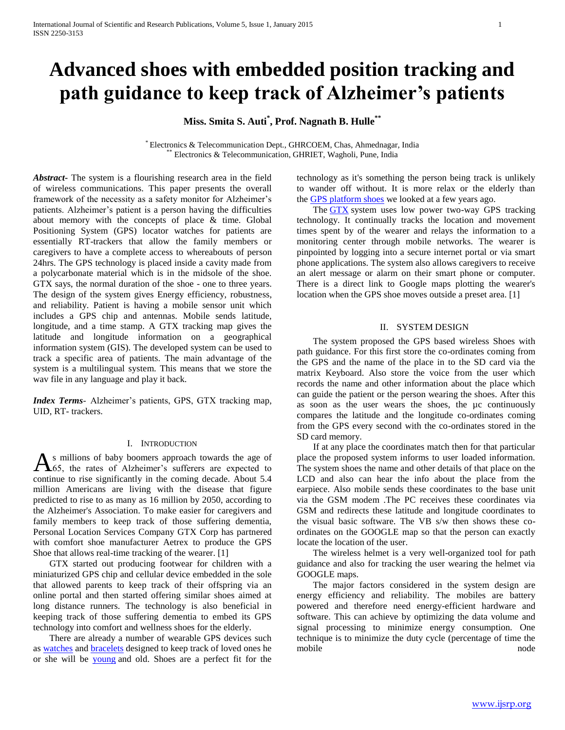# **Advanced shoes with embedded position tracking and path guidance to keep track of Alzheimer's patients**

**Miss. Smita S. Auti\* , Prof. Nagnath B. Hulle\*\***

\* Electronics & Telecommunication Dept., GHRCOEM, Chas, Ahmednagar, India Electronics & Telecommunication, GHRIET, Wagholi, Pune, India

*Abstract***-** The system is a flourishing research area in the field of wireless communications. This paper presents the overall framework of the necessity as a safety monitor for Alzheimer's patients. Alzheimer's patient is a person having the difficulties about memory with the concepts of place & time. Global Positioning System (GPS) locator watches for patients are essentially RT-trackers that allow the family members or caregivers to have a complete access to whereabouts of person 24hrs. The GPS technology is placed inside a cavity made from a polycarbonate material which is in the midsole of the shoe. GTX says, the normal duration of the shoe - one to three years. The design of the system gives Energy efficiency, robustness, and reliability. Patient is having a mobile sensor unit which includes a GPS chip and antennas. Mobile sends latitude, longitude, and a time stamp. A GTX tracking map gives the latitude and longitude information on a geographical information system (GIS). The developed system can be used to track a specific area of patients. The main advantage of the system is a multilingual system. This means that we store the wav file in any language and play it back.

*Index Terms*- Alzheimer's patients, GPS, GTX tracking map, UID, RT- trackers.

# I. INTRODUCTION

s millions of baby boomers approach towards the age of As millions of baby boomers approach towards the age of A55, the rates of Alzheimer's sufferers are expected to continue to rise significantly in the coming decade. About 5.4 million Americans are living with the disease that figure predicted to rise to as many as 16 million by 2050, according to the Alzheimer's Association. To make easier for caregivers and family members to keep track of those suffering dementia, Personal Location Services Company GTX Corp has partnered with comfort shoe manufacturer Aetrex to produce the GPS Shoe that allows real-time tracking of the wearer. [1]

 GTX started out producing footwear for children with a miniaturized GPS chip and cellular device embedded in the sole that allowed parents to keep track of their offspring via an online portal and then started offering similar shoes aimed at long distance runners. The technology is also beneficial in keeping track of those suffering dementia to embed its GPS technology into comfort and wellness shoes for the elderly.

 There are already a number of wearable GPS devices such as [watches](http://www.gizmag.com/lok8u-multim8-gps-wristwatch/13951/) and [bracelets](http://www.gizmag.com/ekahau-t301w-wifi-wrist-tag/13140/) designed to keep track of loved ones he or she will be [young](http://www.gizmag.com/num8-gps-childrens-watch-and-child-locator/10678/) and old. Shoes are a perfect fit for the

technology as it's something the person being track is unlikely to wander off without. It is more relax or the elderly than the [GPS platform shoes](http://www.gizmag.com/go/7841/) we looked at a few years ago.

 The [GTX](http://www.gtxcorp.com/) system uses low power two-way GPS tracking technology. It continually tracks the location and movement times spent by of the wearer and relays the information to a monitoring center through mobile networks. The wearer is pinpointed by logging into a secure internet portal or via smart phone applications. The system also allows caregivers to receive an alert message or alarm on their smart phone or computer. There is a direct link to Google maps plotting the wearer's location when the GPS shoe moves outside a preset area. [1]

#### II. SYSTEM DESIGN

 The system proposed the GPS based wireless Shoes with path guidance. For this first store the co-ordinates coming from the GPS and the name of the place in to the SD card via the matrix Keyboard. Also store the voice from the user which records the name and other information about the place which can guide the patient or the person wearing the shoes. After this as soon as the user wears the shoes, the µc continuously compares the latitude and the longitude co-ordinates coming from the GPS every second with the co-ordinates stored in the SD card memory.

 If at any place the coordinates match then for that particular place the proposed system informs to user loaded information. The system shoes the name and other details of that place on the LCD and also can hear the info about the place from the earpiece. Also mobile sends these coordinates to the base unit via the GSM modem .The PC receives these coordinates via GSM and redirects these latitude and longitude coordinates to the visual basic software. The VB s/w then shows these coordinates on the GOOGLE map so that the person can exactly locate the location of the user.

 The wireless helmet is a very well-organized tool for path guidance and also for tracking the user wearing the helmet via GOOGLE maps.

 The major factors considered in the system design are energy efficiency and reliability. The mobiles are battery powered and therefore need energy-efficient hardware and software. This can achieve by optimizing the data volume and signal processing to minimize energy consumption. One technique is to minimize the duty cycle (percentage of time the mobile node node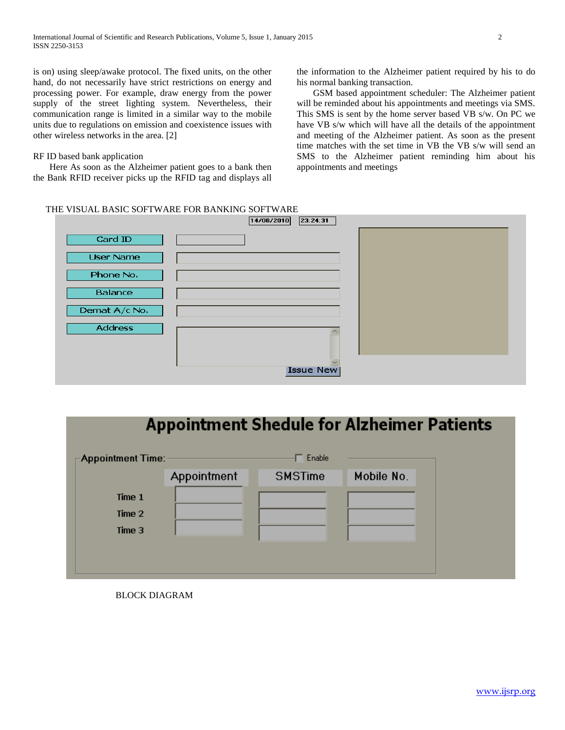is on) using sleep/awake protocol. The fixed units, on the other hand, do not necessarily have strict restrictions on energy and processing power. For example, draw energy from the power supply of the street lighting system. Nevertheless, their communication range is limited in a similar way to the mobile units due to regulations on emission and coexistence issues with other wireless networks in the area. [2]

# RF ID based bank application

 Here As soon as the Alzheimer patient goes to a bank then the Bank RFID receiver picks up the RFID tag and displays all the information to the Alzheimer patient required by his to do his normal banking transaction.

 GSM based appointment scheduler: The Alzheimer patient will be reminded about his appointments and meetings via SMS. This SMS is sent by the home server based VB s/w. On PC we have VB s/w which will have all the details of the appointment and meeting of the Alzheimer patient. As soon as the present time matches with the set time in VB the VB s/w will send an SMS to the Alzheimer patient reminding him about his appointments and meetings

# THE VISUAL BASIC SOFTWARE FOR BANKING SOFTWARE



# **Appointment Shedule for Alzheimer Patients**

| $\mathop{\rule[1pt]{1pt}{0.5pt}\raise[1pt]{1pt}{\text{\circle*{1.5}}}}$ Appointment Time: - |             | Enable         |            |
|---------------------------------------------------------------------------------------------|-------------|----------------|------------|
|                                                                                             | Appointment | <b>SMSTime</b> | Mobile No. |
| Time 1                                                                                      |             |                |            |
| Time 2                                                                                      |             |                |            |
| Time 3                                                                                      |             |                |            |
|                                                                                             |             |                |            |
|                                                                                             |             |                |            |

# BLOCK DIAGRAM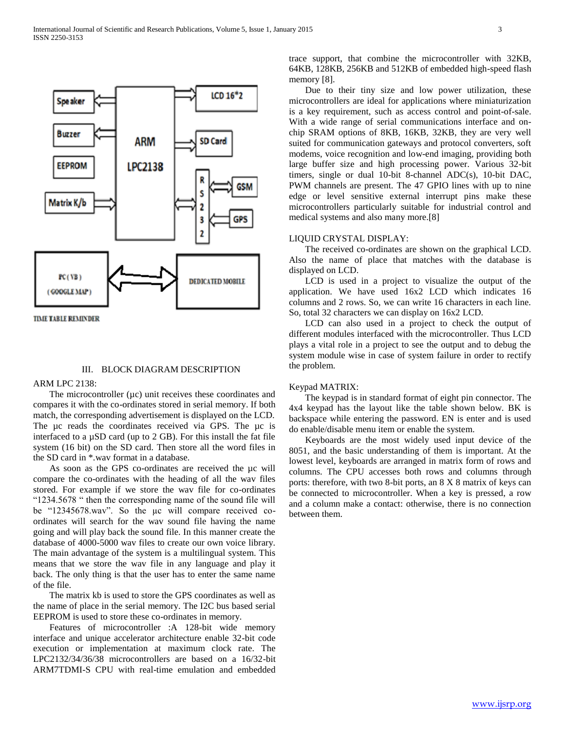

**TIME TABLE REMINDER** 

#### III. BLOCK DIAGRAM DESCRIPTION

#### ARM LPC 2138:

The microcontroller  $(\mu c)$  unit receives these coordinates and compares it with the co-ordinates stored in serial memory. If both match, the corresponding advertisement is displayed on the LCD. The  $\mu$ c reads the coordinates received via GPS. The  $\mu$ c is interfaced to a µSD card (up to 2 GB). For this install the fat file system (16 bit) on the SD card. Then store all the word files in the SD card in \*.wav format in a database.

As soon as the GPS co-ordinates are received the  $\mu$ c will compare the co-ordinates with the heading of all the wav files stored. For example if we store the wav file for co-ordinates "1234.5678 " then the corresponding name of the sound file will be "12345678.wav". So the µc will compare received coordinates will search for the wav sound file having the name going and will play back the sound file. In this manner create the database of 4000-5000 wav files to create our own voice library. The main advantage of the system is a multilingual system. This means that we store the wav file in any language and play it back. The only thing is that the user has to enter the same name of the file.

 The matrix kb is used to store the GPS coordinates as well as the name of place in the serial memory. The I2C bus based serial EEPROM is used to store these co-ordinates in memory.

 Features of microcontroller :A 128-bit wide memory interface and unique accelerator architecture enable 32-bit code execution or implementation at maximum clock rate. The LPC2132/34/36/38 microcontrollers are based on a 16/32-bit ARM7TDMI-S CPU with real-time emulation and embedded trace support, that combine the microcontroller with 32KB, 64KB, 128KB, 256KB and 512KB of embedded high-speed flash memory [8].

 Due to their tiny size and low power utilization, these microcontrollers are ideal for applications where miniaturization is a key requirement, such as access control and point-of-sale. With a wide range of serial communications interface and onchip SRAM options of 8KB, 16KB, 32KB, they are very well suited for communication gateways and protocol converters, soft modems, voice recognition and low-end imaging, providing both large buffer size and high processing power. Various 32-bit timers, single or dual 10-bit 8-channel ADC(s), 10-bit DAC, PWM channels are present. The 47 GPIO lines with up to nine edge or level sensitive external interrupt pins make these microcontrollers particularly suitable for industrial control and medical systems and also many more.[8]

# LIQUID CRYSTAL DISPLAY:

 The received co-ordinates are shown on the graphical LCD. Also the name of place that matches with the database is displayed on LCD.

 LCD is used in a project to visualize the output of the application. We have used 16x2 LCD which indicates 16 columns and 2 rows. So, we can write 16 characters in each line. So, total 32 characters we can display on 16x2 LCD.

 LCD can also used in a project to check the output of different modules interfaced with the microcontroller. Thus LCD plays a vital role in a project to see the output and to debug the system module wise in case of system failure in order to rectify the problem.

#### Keypad MATRIX:

 The keypad is in standard format of eight pin connector. The 4x4 keypad has the layout like the table shown below. BK is backspace while entering the password. EN is enter and is used do enable/disable menu item or enable the system.

 Keyboards are the most widely used input device of the 8051, and the basic understanding of them is important. At the lowest level, keyboards are arranged in matrix form of rows and columns. The CPU accesses both rows and columns through ports: therefore, with two 8-bit ports, an 8 X 8 matrix of keys can be connected to microcontroller. When a key is pressed, a row and a column make a contact: otherwise, there is no connection between them.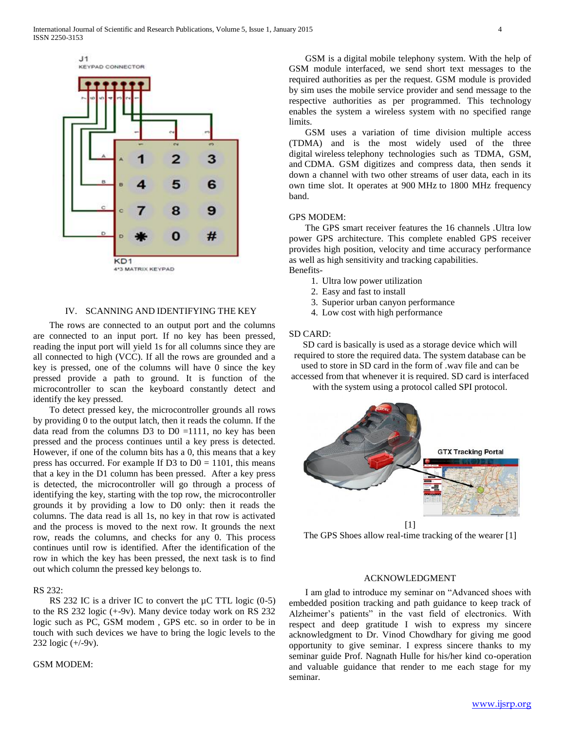

#### IV. SCANNING AND IDENTIFYING THE KEY

 The rows are connected to an output port and the columns are connected to an input port. If no key has been pressed, reading the input port will yield 1s for all columns since they are all connected to high (VCC). If all the rows are grounded and a key is pressed, one of the columns will have 0 since the key pressed provide a path to ground. It is function of the microcontroller to scan the keyboard constantly detect and identify the key pressed.

 To detect pressed key, the microcontroller grounds all rows by providing 0 to the output latch, then it reads the column. If the data read from the columns  $D3$  to  $D0 = 1111$ , no key has been pressed and the process continues until a key press is detected. However, if one of the column bits has a 0, this means that a key press has occurred. For example If D3 to  $D0 = 1101$ , this means that a key in the D1 column has been pressed. After a key press is detected, the microcontroller will go through a process of identifying the key, starting with the top row, the microcontroller grounds it by providing a low to D0 only: then it reads the columns. The data read is all 1s, no key in that row is activated and the process is moved to the next row. It grounds the next row, reads the columns, and checks for any 0. This process continues until row is identified. After the identification of the row in which the key has been pressed, the next task is to find out which column the pressed key belongs to.

#### RS 232:

RS 232 IC is a driver IC to convert the  $\mu$ C TTL logic (0-5) to the RS 232 logic (+-9v). Many device today work on RS 232 logic such as PC, GSM modem , GPS etc. so in order to be in touch with such devices we have to bring the logic levels to the 232 logic (+/-9v).

#### GSM MODEM:

 GSM is a digital mobile telephony system. With the help of GSM module interfaced, we send short text messages to the required authorities as per the request. GSM module is provided by sim uses the mobile service provider and send message to the respective authorities as per programmed. This technology enables the system a wireless system with no specified range limits.

 GSM uses a variation of time division multiple access (TDMA) and is the most widely used of the three digital wireless telephony technologies such as TDMA, GSM, and CDMA. GSM digitizes and compress data, then sends it down a channel with two other streams of user data, each in its own time slot. It operates at 900 MHz to 1800 MHz frequency band.

### GPS MODEM:

 The GPS smart receiver features the 16 channels .Ultra low power GPS architecture. This complete enabled GPS receiver provides high position, velocity and time accuracy performance as well as high sensitivity and tracking capabilities. Benefits-

- 1. Ultra low power utilization
- 2. Easy and fast to install
- 3. Superior urban canyon performance
- 4. Low cost with high performance

# SD CARD:

SD card is basically is used as a storage device which will required to store the required data. The system database can be

used to store in SD card in the form of .wav file and can be accessed from that whenever it is required. SD card is interfaced

with the system using a protocol called SPI protocol.



The GPS Shoes allow real-time tracking of the wearer [1]

#### ACKNOWLEDGMENT

 I am glad to introduce my seminar on "Advanced shoes with embedded position tracking and path guidance to keep track of Alzheimer's patients" in the vast field of electronics. With respect and deep gratitude I wish to express my sincere acknowledgment to Dr. Vinod Chowdhary for giving me good opportunity to give seminar. I express sincere thanks to my seminar guide Prof. Nagnath Hulle for his/her kind co-operation and valuable guidance that render to me each stage for my seminar.